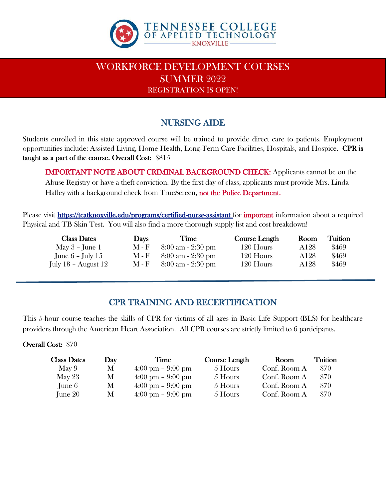

## WORKFORCE DEVELOPMENT COURSES SUMMER 2022 REGISTRATION IS OPEN!

### NURSING AIDE

Students enrolled in this state approved course will be trained to provide direct care to patients. Employment opportunities include: Assisted Living, Home Health, Long-Term Care Facilities, Hospitals, and Hospice. CPR is taught as a part of the course. Overall Cost: \$815

IMPORTANT NOTE ABOUT CRIMINAL BACKGROUND CHECK: Applicants cannot be on the Abuse Registry or have a theft conviction. By the first day of class, applicants must provide Mrs. Linda Hafley with a background check from TrueScreen, not the Police Department.

Please visit https://tcatknoxville.edu/programs/certified-nurse-assistant for important information about a required Physical and TB Skin Test. You will also find a more thorough supply list and cost breakdown!

| <b>Class Dates</b>      | <b>Days</b>                 | Time                                | Course Length | Room | Tuition |
|-------------------------|-----------------------------|-------------------------------------|---------------|------|---------|
| May $3$ – June 1        | <b>M</b> - F                | $8:00 \text{ am} - 2:30 \text{ pm}$ | 120 Hours     | A128 | \$469   |
| June $6$ – July $15$    | $M - F$                     | $8:00 \text{ am} - 2:30 \text{ pm}$ | 120 Hours     | A128 | \$469   |
| July $18$ – August $12$ | $\mathbf{M}$ - $\mathbf{F}$ | $8:00 \text{ am} - 2:30 \text{ pm}$ | 120 Hours     | A128 | \$469   |

### CPR TRAINING AND RECERTIFICATION

This 5-hour course teaches the skills of CPR for victims of all ages in Basic Life Support (BLS) for healthcare providers through the American Heart Association. All CPR courses are strictly limited to 6 participants.

#### Overall Cost: \$70

| <b>Class Dates</b> | Day | Time                                | Course Length | Room         | Tuition |
|--------------------|-----|-------------------------------------|---------------|--------------|---------|
| May $9$            | М   | $4:00 \text{ pm} - 9:00 \text{ pm}$ | 5 Hours       | Conf. Room A | \$70    |
| May $23$           | М   | $4:00 \text{ pm} - 9:00 \text{ pm}$ | 5 Hours       | Conf. Room A | \$70    |
| June 6             | М   | $4:00 \text{ pm} - 9:00 \text{ pm}$ | 5 Hours       | Conf. Room A | \$70    |
| June 20            | М   | $4:00 \text{ pm} - 9:00 \text{ pm}$ | 5 Hours       | Conf. Room A | \$70    |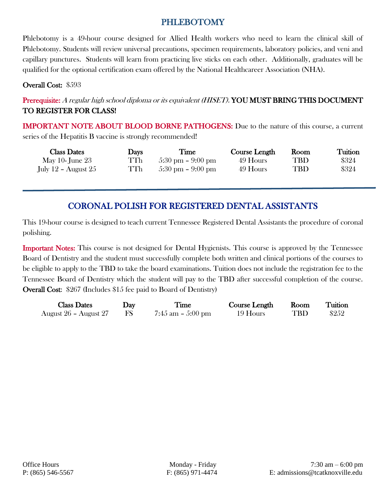#### PHLEBOTOMY

Phlebotomy is a 49-hour course designed for Allied Health workers who need to learn the clinical skill of Phlebotomy. Students will review universal precautions, specimen requirements, laboratory policies, and veni and capillary punctures. Students will learn from practicing live sticks on each other. Additionally, graduates will be qualified for the optional certification exam offered by the National Healthcareer Association (NHA).

Overall Cost: \$593

#### Prerequisite: A regular high school diploma or its equivalent (HISET). YOU MUST BRING THIS DOCUMENT TO REGISTER FOR CLASS!

IMPORTANT NOTE ABOUT BLOOD BORNE PATHOGENS: Due to the nature of this course, a current series of the Hepatitis B vaccine is strongly recommended!

| <b>Class Dates</b>    | <b>Davs</b> | Time                                | Course Length | Room       | Tuition |
|-----------------------|-------------|-------------------------------------|---------------|------------|---------|
| May 10- June $23$     | TTh         | $5:30 \text{ pm} - 9:00 \text{ pm}$ | 49 Hours      | TBD        | \$324   |
| July 12 - August $25$ | TTh         | $5:30 \text{ pm} - 9:00 \text{ pm}$ | 49 Hours      | <b>TBD</b> | \$324   |

## CORONAL POLISH FOR REGISTERED DENTAL ASSISTANTS

This 19-hour course is designed to teach current Tennessee Registered Dental Assistants the procedure of coronal polishing.

Important Notes: This course is not designed for Dental Hygienists. This course is approved by the Tennessee Board of Dentistry and the student must successfully complete both written and clinical portions of the courses to be eligible to apply to the TBD to take the board examinations. Tuition does not include the registration fee to the Tennessee Board of Dentistry which the student will pay to the TBD after successful completion of the course. Overall Cost: \$267 (Includes \$15 fee paid to Board of Dentistry)

| <b>Class Dates</b>    | $\bf$ | Time                 | Course Length | Room       | Tuition |
|-----------------------|-------|----------------------|---------------|------------|---------|
| August 26 - August 27 |       | $7:45$ am $-5:00$ pm | 19 Hours      | <b>TBD</b> | \$252   |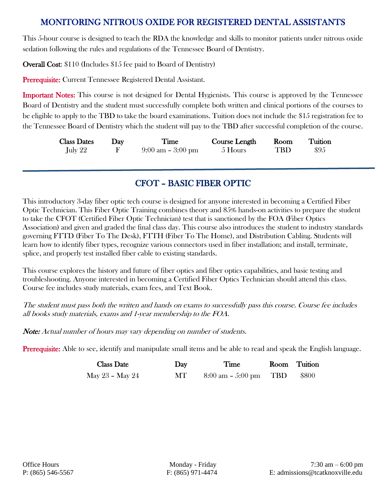### MONITORING NITROUS OXIDE FOR REGISTERED DENTAL ASSISTANTS

This 5-hour course is designed to teach the RDA the knowledge and skills to monitor patients under nitrous oxide sedation following the rules and regulations of the Tennessee Board of Dentistry.

Overall Cost: \$110 (Includes \$15 fee paid to Board of Dentistry)

Prerequisite: Current Tennessee Registered Dental Assistant.

Important Notes: This course is not designed for Dental Hygienists. This course is approved by the Tennessee Board of Dentistry and the student must successfully complete both written and clinical portions of the courses to be eligible to apply to the TBD to take the board examinations. Tuition does not include the \$15 registration fee to the Tennessee Board of Dentistry which the student will pay to the TBD after successful completion of the course.

| <b>Class Dates</b> | $\mathbf{Day}$ | Time                                | <b>Course Length</b> | Room | Tuition |
|--------------------|----------------|-------------------------------------|----------------------|------|---------|
| July 22            |                | $9:00 \text{ am} - 3:00 \text{ pm}$ | 5 Hours              | TBD  | \$95    |

### CFOT – BASIC FIBER OPTIC

This introductory 3-day fiber optic tech course is designed for anyone interested in becoming a Certified Fiber Optic Technician. This Fiber Optic Training combines theory and 85% hands-on activities to prepare the student to take the CFOT (Certified Fiber Optic Technician) test that is sanctioned by the FOA (Fiber Optics Association) and given and graded the final class day. This course also introduces the student to industry standards governing FTTD (Fiber To The Desk), FTTH (Fiber To The Home), and Distribution Cabling. Students will learn how to identify fiber types, recognize various connectors used in fiber installation; and install, terminate, splice, and properly test installed fiber cable to existing standards.

This course explores the history and future of fiber optics and fiber optics capabilities, and basic testing and troubleshooting. Anyone interested in becoming a Certified Fiber Optics Technician should attend this class. Course fee includes study materials, exam fees, and Text Book.

The student must pass both the written and hands on exams to successfully pass this course. Course fee includes all books study materials, exams and 1-year membership to the FOA.

Note: Actual number of hours may vary depending on number of students.

Prerequisite: Able to see, identify and manipulate small items and be able to read and speak the English language.

| <b>Class Date</b> | Day  | Time                                    | Room Tuition |
|-------------------|------|-----------------------------------------|--------------|
| May 23 - May 24   | MT - | $8:00 \text{ am} - 5:00 \text{ pm}$ TBD | \$800        |

Ī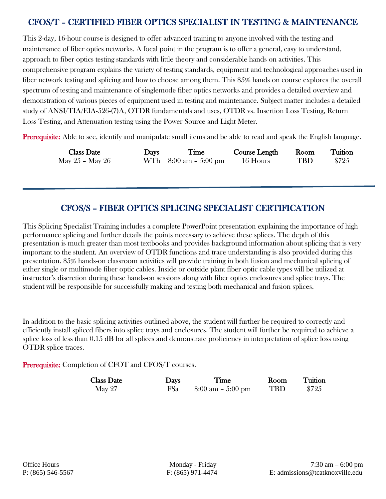### CFOS/T – CERTIFIED FIBER OPTICS SPECIALIST IN TESTING & MAINTENANCE

This 2-day, 16-hour course is designed to offer advanced training to anyone involved with the testing and maintenance of fiber optics networks. A focal point in the program is to offer a general, easy to understand, approach to fiber optics testing standards with little theory and considerable hands on activities. This comprehensive program explains the variety of testing standards, equipment and technological approaches used in fiber network testing and splicing and how to choose among them. This 85% hands on course explores the overall spectrum of testing and maintenance of singlemode fiber optics networks and provides a detailed overview and demonstration of various pieces of equipment used in testing and maintenance. Subject matter includes a detailed study of ANSI/TIA/EIA-526-(7)A, OTDR fundamentals and uses, OTDR vs. Insertion Loss Testing, Return Loss Testing, and Attenuation testing using the Power Source and Light Meter.

Prerequisite: Able to see, identify and manipulate small items and be able to read and speak the English language.

| <b>Class Date</b> | <b>Days</b> | Time                                    | <b>Course Length</b> | Room | Tuition |
|-------------------|-------------|-----------------------------------------|----------------------|------|---------|
| May 25 - May 26   |             | WTh $8:00 \text{ am} - 5:00 \text{ pm}$ | 16 Hours             | TBD  | \$725   |

#### CFOS/S – FIBER OPTICS SPLICING SPECIALIST CERTIFICATION

 $\overline{a}$ 

This Splicing Specialist Training includes a complete PowerPoint presentation explaining the importance of high performance splicing and further details the points necessary to achieve these splices. The depth of this presentation is much greater than most textbooks and provides background information about splicing that is very important to the student. An overview of OTDR functions and trace understanding is also provided during this presentation. 85% hands-on classroom activities will provide training in both fusion and mechanical splicing of either single or multimode fiber optic cables. Inside or outside plant fiber optic cable types will be utilized at instructor's discretion during these hands-on sessions along with fiber optics enclosures and splice trays. The student will be responsible for successfully making and testing both mechanical and fusion splices.

In addition to the basic splicing activities outlined above, the student will further be required to correctly and efficiently install spliced fibers into splice trays and enclosures. The student will further be required to achieve a splice loss of less than 0.15 dB for all splices and demonstrate proficiency in interpretation of splice loss using OTDR splice traces.

Prerequisite: Completion of CFOT and CFOS/T courses.

| <b>Class Date</b> | <b>Days</b> | Time                                | Room       | Tuition |
|-------------------|-------------|-------------------------------------|------------|---------|
| May 27            | <b>FSa</b>  | $8:00 \text{ am} - 5:00 \text{ pm}$ | <b>TBD</b> | \$725   |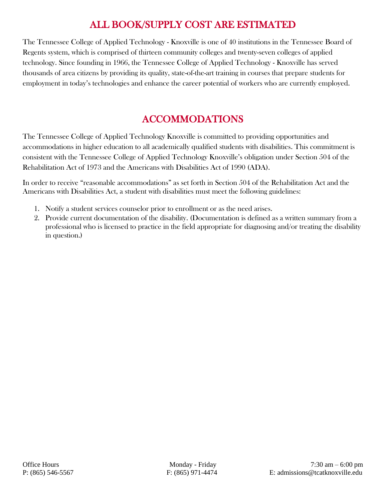# ALL BOOK/SUPPLY COST ARE ESTIMATED

The Tennessee College of Applied Technology - Knoxville is one of 40 institutions in the Tennessee Board of Regents system, which is comprised of thirteen community colleges and twenty-seven colleges of applied technology. Since founding in 1966, the Tennessee College of Applied Technology - Knoxville has served thousands of area citizens by providing its quality, state-of-the-art training in courses that prepare students for employment in today's technologies and enhance the career potential of workers who are currently employed.

# ACCOMMODATIONS

The Tennessee College of Applied Technology Knoxville is committed to providing opportunities and accommodations in higher education to all academically qualified students with disabilities. This commitment is consistent with the Tennessee College of Applied Technology Knoxville's obligation under Section 504 of the Rehabilitation Act of 1973 and the Americans with Disabilities Act of 1990 (ADA).

In order to receive "reasonable accommodations" as set forth in Section 504 of the Rehabilitation Act and the Americans with Disabilities Act, a student with disabilities must meet the following guidelines:

- 1. Notify a student services counselor prior to enrollment or as the need arises.
- 2. Provide current documentation of the disability. (Documentation is defined as a written summary from a professional who is licensed to practice in the field appropriate for diagnosing and/or treating the disability in question.)